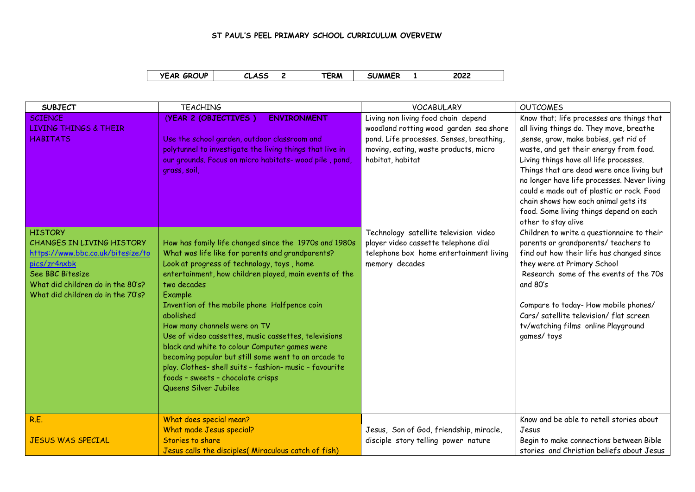## **ST PAUL'S PEEL PRIMARY SCHOOL CURRICULUM OVERVEIW**

| <b>YEAR GROUP</b> | CLASS | <b>TERM</b> | <b>SUMMER</b> | 2022 |  |
|-------------------|-------|-------------|---------------|------|--|
|-------------------|-------|-------------|---------------|------|--|

| <b>SUBJECT</b>                                                                                                                                                                                 | <b>TEACHING</b>                                                                                                                                                                                                                                                                                                                                                                                                                                                                                                                                                                                                                    | <b>VOCABULARY</b>                                                                                                                                                                      | <b>OUTCOMES</b>                                                                                                                                                                                                                                                                                                                                                                                                                                                      |
|------------------------------------------------------------------------------------------------------------------------------------------------------------------------------------------------|------------------------------------------------------------------------------------------------------------------------------------------------------------------------------------------------------------------------------------------------------------------------------------------------------------------------------------------------------------------------------------------------------------------------------------------------------------------------------------------------------------------------------------------------------------------------------------------------------------------------------------|----------------------------------------------------------------------------------------------------------------------------------------------------------------------------------------|----------------------------------------------------------------------------------------------------------------------------------------------------------------------------------------------------------------------------------------------------------------------------------------------------------------------------------------------------------------------------------------------------------------------------------------------------------------------|
| <b>SCIENCE</b><br><b>LIVING THINGS &amp; THEIR</b><br><b>HABITATS</b>                                                                                                                          | (YEAR 2 (OBJECTIVES)<br><b>ENVIRONMENT</b><br>Use the school garden, outdoor classroom and<br>polytunnel to investigate the living things that live in<br>our grounds. Focus on micro habitats-wood pile, pond,<br>grass, soil,                                                                                                                                                                                                                                                                                                                                                                                                    | Living non living food chain depend<br>woodland rotting wood garden sea shore<br>pond. Life processes. Senses, breathing,<br>moving, eating, waste products, micro<br>habitat, habitat | Know that; life processes are things that<br>all living things do. They move, breathe<br>sense, grow, make babies, get rid of<br>waste, and get their energy from food.<br>Living things have all life processes.<br>Things that are dead were once living but<br>no longer have life processes. Never living<br>could e made out of plastic or rock. Food<br>chain shows how each animal gets its<br>food. Some living things depend on each<br>other to stay alive |
| <b>HISTORY</b><br>CHANGES IN LIVING HISTORY<br>https://www.bbc.co.uk/bitesize/to<br>pics/zr4nxbk<br>See BBC Bitesize<br>What did children do in the 80's?<br>What did children do in the 70's? | How has family life changed since the 1970s and 1980s<br>What was life like for parents and grandparents?<br>Look at progress of technology, toys, home<br>entertainment, how children played, main events of the<br>two decades<br>Example<br>Invention of the mobile phone Halfpence coin<br>abolished<br>How many channels were on TV<br>Use of video cassettes, music cassettes, televisions<br>black and white to colour Computer games were<br>becoming popular but still some went to an arcade to<br>play. Clothes- shell suits - fashion- music - favourite<br>foods - sweets - chocolate crisps<br>Queens Silver Jubilee | Technology satellite television video<br>player video cassette telephone dial<br>telephone box home entertainment living<br>memory decades                                             | Children to write a questionnaire to their<br>parents or grandparents/ teachers to<br>find out how their life has changed since<br>they were at Primary School<br>Research some of the events of the 70s<br>and 80's<br>Compare to today-How mobile phones/<br>Cars/ satellite television/ flat screen<br>tv/watching films online Playground<br>games/toys                                                                                                          |
| R.E.<br><b>JESUS WAS SPECIAL</b>                                                                                                                                                               | What does special mean?<br>What made Jesus special?<br>Stories to share<br>Jesus calls the disciples( Miraculous catch of fish)                                                                                                                                                                                                                                                                                                                                                                                                                                                                                                    | Jesus, Son of God, friendship, miracle,<br>disciple story telling power nature                                                                                                         | Know and be able to retell stories about<br>Jesus<br>Begin to make connections between Bible<br>stories and Christian beliefs about Jesus                                                                                                                                                                                                                                                                                                                            |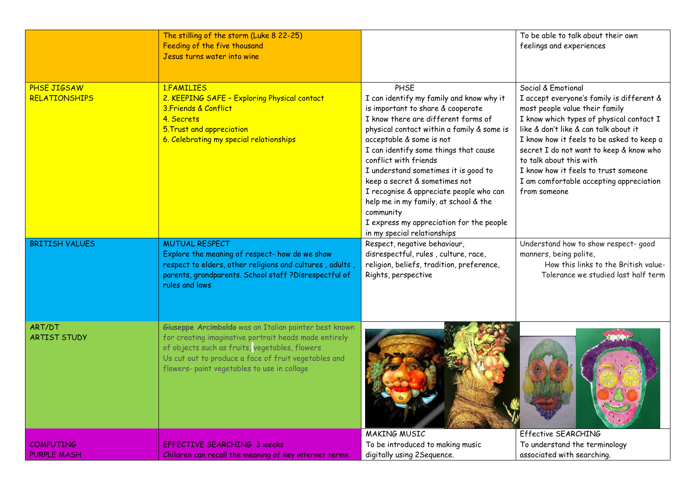|                                     | The stilling of the storm (Luke 8 22-25)<br>Feeding of the five thousand<br>Jesus turns water into wine                                                                                                                                                                 |                                                                                                                                                                                                                                                                                                                                                                                                                                                                                                                               | To be able to talk about their own<br>feelings and experiences                                                                                                                                                                                                                                                                                                                                               |
|-------------------------------------|-------------------------------------------------------------------------------------------------------------------------------------------------------------------------------------------------------------------------------------------------------------------------|-------------------------------------------------------------------------------------------------------------------------------------------------------------------------------------------------------------------------------------------------------------------------------------------------------------------------------------------------------------------------------------------------------------------------------------------------------------------------------------------------------------------------------|--------------------------------------------------------------------------------------------------------------------------------------------------------------------------------------------------------------------------------------------------------------------------------------------------------------------------------------------------------------------------------------------------------------|
| PHSE JIGSAW<br><b>RELATIONSHIPS</b> | 1.FAMILIES<br>2. KEEPING SAFE - Exploring Physical contact<br>3. Friends & Conflict<br>4. Secrets<br>5. Trust and appreciation<br>6. Celebrating my special relationships                                                                                               | PHSE<br>I can identify my family and know why it<br>is important to share & cooperate<br>I know there are different forms of<br>physical contact within a family & some is<br>acceptable & some is not<br>I can identify some things that cause<br>conflict with friends<br>I understand sometimes it is good to<br>keep a secret & sometimes not<br>I recognise & appreciate people who can<br>help me in my family, at school & the<br>community<br>I express my appreciation for the people<br>in my special relationships | Social & Emotional<br>I accept everyone's family is different &<br>most people value their family<br>I know which types of physical contact I<br>like & don't like & can talk about it<br>I know how it feels to be asked to keep a<br>secret I do not want to keep & know who<br>to talk about this with<br>I know how it feels to trust someone<br>I am comfortable accepting appreciation<br>from someone |
| <b>BRITISH VALUES</b>               | <b>MUTUAL RESPECT</b><br>Explore the meaning of respect- how do we show<br>respect to elders, other religions and cultures, adults,<br>parents, grandparents. School staff ?Disrespectful of<br>rules and laws                                                          | Respect, negative behaviour,<br>disrespectful, rules, culture, race,<br>religion, beliefs, tradition, preference,<br>Rights, perspective                                                                                                                                                                                                                                                                                                                                                                                      | Understand how to show respect- good<br>manners, being polite,<br>How this links to the British value-<br>Tolerance we studied last half term                                                                                                                                                                                                                                                                |
| ART/DT<br><b>ARTIST STUDY</b>       | Giuseppe Arcimboldo was an Italian painter best known<br>for creating imaginative portrait heads made entirely<br>of objects such as fruits, vegetables, flowers<br>Us cut out to produce a face of fruit vegetables and<br>flowers- paint vegetables to use in collage |                                                                                                                                                                                                                                                                                                                                                                                                                                                                                                                               |                                                                                                                                                                                                                                                                                                                                                                                                              |
|                                     |                                                                                                                                                                                                                                                                         | MAKING MUSIC                                                                                                                                                                                                                                                                                                                                                                                                                                                                                                                  | Effective SEARCHING                                                                                                                                                                                                                                                                                                                                                                                          |
| <b>COMPUTING</b>                    | <b>EFFECTIVE SEARCHING 3 weeks</b>                                                                                                                                                                                                                                      | To be introduced to making music                                                                                                                                                                                                                                                                                                                                                                                                                                                                                              | To understand the terminology                                                                                                                                                                                                                                                                                                                                                                                |
| <b>PURPLE MASH</b>                  | Children can recall the meaning of key internet terms.                                                                                                                                                                                                                  | digitally using 2Sequence.                                                                                                                                                                                                                                                                                                                                                                                                                                                                                                    | associated with searching.                                                                                                                                                                                                                                                                                                                                                                                   |